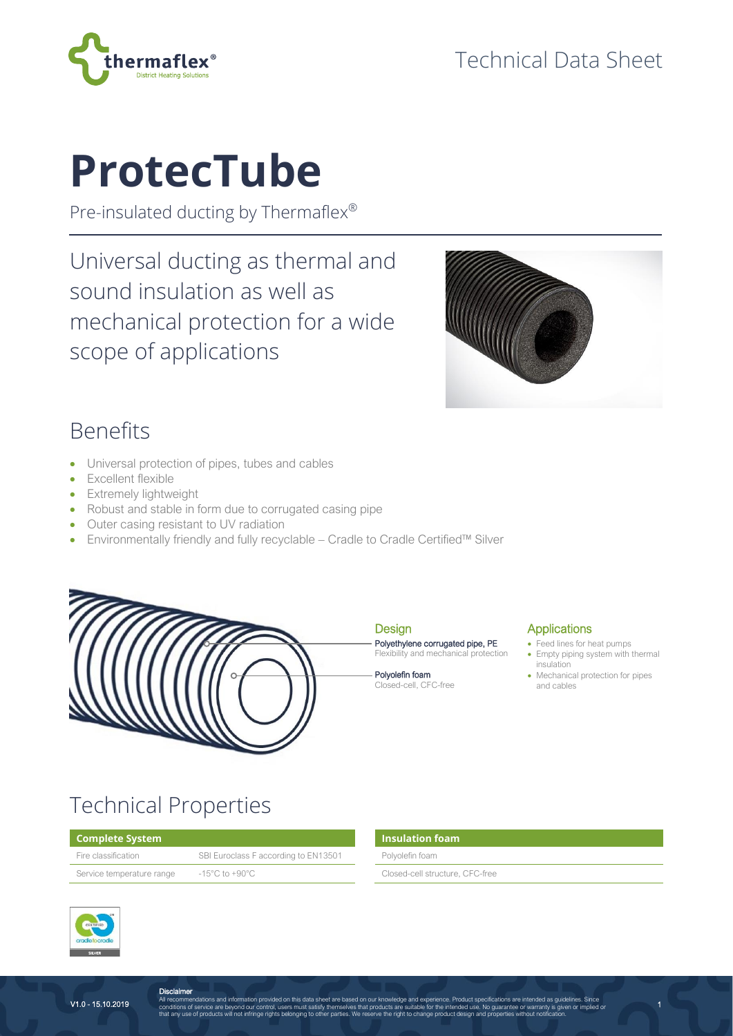

# **ProtecTube**

Pre-insulated ducting by Thermaflex®

Universal ducting as thermal and sound insulation as well as mechanical protection for a wide scope of applications



### Benefits

- Universal protection of pipes, tubes and cables
- Excellent flexible
- Extremely lightweight
- Robust and stable in form due to corrugated casing pipe
- Outer casing resistant to UV radiation
- Environmentally friendly and fully recyclable Cradle to Cradle Certified™ Silver



#### **Design** Polyethylene corrugated pipe, PE

Flexibility and mechanical protection

Polyolefin foam Closed-cell, CFC-free

#### **Applications**

- Feed lines for heat pumps
- Empty piping system with thermal insulation

1

• Mechanical protection for pipes and cables

## Technical Properties

#### **Complete System**

| Fire classification       | SBI Euroclass F according to EN13501 |  | Polyolefin foam                 |  |
|---------------------------|--------------------------------------|--|---------------------------------|--|
| Service temperature range | -15°C to +90°C                       |  | Closed-cell structure, CFC-free |  |

| <b>Insulation foam</b>          |  |
|---------------------------------|--|
| Polyolefin foam                 |  |
| Closed-cell structure, CFC-free |  |